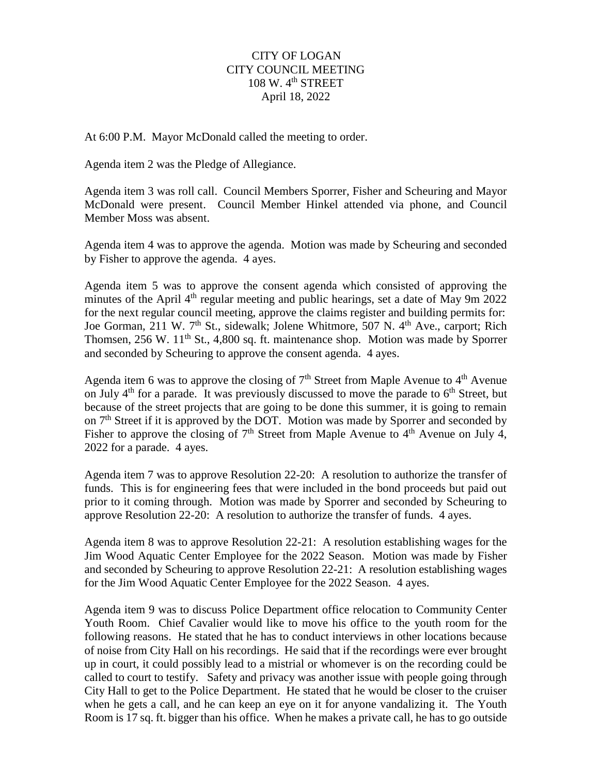## CITY OF LOGAN CITY COUNCIL MEETING  $108 \text{ W}$ .  $4^{\text{th}}$  STREET April 18, 2022

At 6:00 P.M. Mayor McDonald called the meeting to order.

Agenda item 2 was the Pledge of Allegiance.

Agenda item 3 was roll call. Council Members Sporrer, Fisher and Scheuring and Mayor McDonald were present. Council Member Hinkel attended via phone, and Council Member Moss was absent.

Agenda item 4 was to approve the agenda. Motion was made by Scheuring and seconded by Fisher to approve the agenda. 4 ayes.

Agenda item 5 was to approve the consent agenda which consisted of approving the minutes of the April 4<sup>th</sup> regular meeting and public hearings, set a date of May 9m 2022 for the next regular council meeting, approve the claims register and building permits for: Joe Gorman, 211 W. 7<sup>th</sup> St., sidewalk; Jolene Whitmore, 507 N. 4<sup>th</sup> Ave., carport; Rich Thomsen, 256 W. 11<sup>th</sup> St., 4,800 sq. ft. maintenance shop. Motion was made by Sporrer and seconded by Scheuring to approve the consent agenda. 4 ayes.

Agenda item 6 was to approve the closing of  $7<sup>th</sup>$  Street from Maple Avenue to  $4<sup>th</sup>$  Avenue on July  $4<sup>th</sup>$  for a parade. It was previously discussed to move the parade to  $6<sup>th</sup>$  Street, but because of the street projects that are going to be done this summer, it is going to remain on  $7<sup>th</sup>$  Street if it is approved by the DOT. Motion was made by Sporrer and seconded by Fisher to approve the closing of  $7<sup>th</sup>$  Street from Maple Avenue to  $4<sup>th</sup>$  Avenue on July 4, 2022 for a parade. 4 ayes.

Agenda item 7 was to approve Resolution 22-20: A resolution to authorize the transfer of funds. This is for engineering fees that were included in the bond proceeds but paid out prior to it coming through. Motion was made by Sporrer and seconded by Scheuring to approve Resolution 22-20: A resolution to authorize the transfer of funds. 4 ayes.

Agenda item 8 was to approve Resolution 22-21: A resolution establishing wages for the Jim Wood Aquatic Center Employee for the 2022 Season. Motion was made by Fisher and seconded by Scheuring to approve Resolution 22-21: A resolution establishing wages for the Jim Wood Aquatic Center Employee for the 2022 Season. 4 ayes.

Agenda item 9 was to discuss Police Department office relocation to Community Center Youth Room. Chief Cavalier would like to move his office to the youth room for the following reasons. He stated that he has to conduct interviews in other locations because of noise from City Hall on his recordings. He said that if the recordings were ever brought up in court, it could possibly lead to a mistrial or whomever is on the recording could be called to court to testify. Safety and privacy was another issue with people going through City Hall to get to the Police Department. He stated that he would be closer to the cruiser when he gets a call, and he can keep an eye on it for anyone vandalizing it. The Youth Room is 17 sq. ft. bigger than his office. When he makes a private call, he has to go outside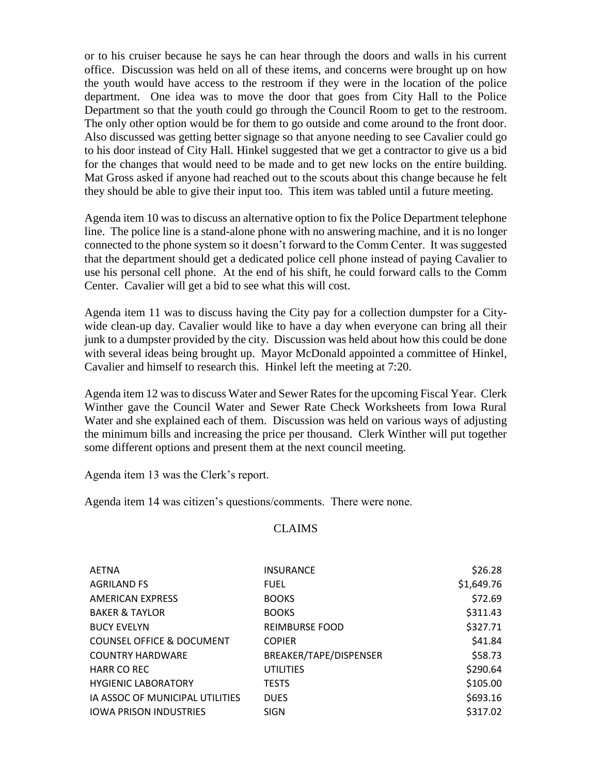or to his cruiser because he says he can hear through the doors and walls in his current office. Discussion was held on all of these items, and concerns were brought up on how the youth would have access to the restroom if they were in the location of the police department. One idea was to move the door that goes from City Hall to the Police Department so that the youth could go through the Council Room to get to the restroom. The only other option would be for them to go outside and come around to the front door. Also discussed was getting better signage so that anyone needing to see Cavalier could go to his door instead of City Hall. Hinkel suggested that we get a contractor to give us a bid for the changes that would need to be made and to get new locks on the entire building. Mat Gross asked if anyone had reached out to the scouts about this change because he felt they should be able to give their input too. This item was tabled until a future meeting.

Agenda item 10 was to discuss an alternative option to fix the Police Department telephone line. The police line is a stand-alone phone with no answering machine, and it is no longer connected to the phone system so it doesn't forward to the Comm Center. It was suggested that the department should get a dedicated police cell phone instead of paying Cavalier to use his personal cell phone. At the end of his shift, he could forward calls to the Comm Center. Cavalier will get a bid to see what this will cost.

Agenda item 11 was to discuss having the City pay for a collection dumpster for a Citywide clean-up day. Cavalier would like to have a day when everyone can bring all their junk to a dumpster provided by the city. Discussion was held about how this could be done with several ideas being brought up. Mayor McDonald appointed a committee of Hinkel, Cavalier and himself to research this. Hinkel left the meeting at 7:20.

Agenda item 12 was to discuss Water and Sewer Rates for the upcoming Fiscal Year. Clerk Winther gave the Council Water and Sewer Rate Check Worksheets from Iowa Rural Water and she explained each of them. Discussion was held on various ways of adjusting the minimum bills and increasing the price per thousand. Clerk Winther will put together some different options and present them at the next council meeting.

Agenda item 13 was the Clerk's report.

Agenda item 14 was citizen's questions/comments. There were none.

## CLAIMS

| AETNA                                | <b>INSURANCE</b>       | \$26.28    |
|--------------------------------------|------------------------|------------|
| <b>AGRILAND FS</b>                   | <b>FUEL</b>            | \$1,649.76 |
| <b>AMERICAN EXPRESS</b>              | <b>BOOKS</b>           | \$72.69    |
| <b>BAKER &amp; TAYLOR</b>            | <b>BOOKS</b>           | \$311.43   |
| <b>BUCY EVELYN</b>                   | <b>REIMBURSE FOOD</b>  | \$327.71   |
| <b>COUNSEL OFFICE &amp; DOCUMENT</b> | <b>COPIER</b>          | \$41.84    |
| <b>COUNTRY HARDWARE</b>              | BREAKER/TAPE/DISPENSER | \$58.73    |
| HARR CO REC                          | <b>UTILITIES</b>       | \$290.64   |
| <b>HYGIENIC LABORATORY</b>           | <b>TESTS</b>           | \$105.00   |
| IA ASSOC OF MUNICIPAL UTILITIES      | <b>DUES</b>            | \$693.16   |
| <b>IOWA PRISON INDUSTRIES</b>        | <b>SIGN</b>            | \$317.02   |